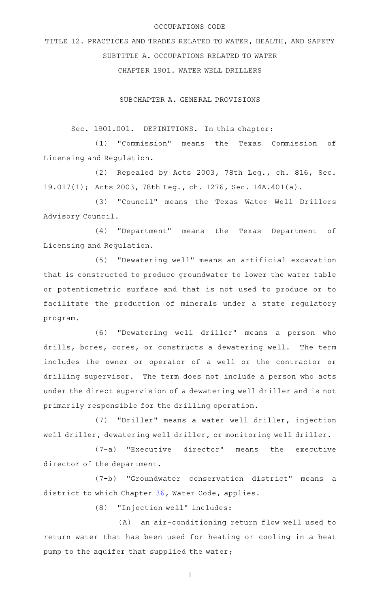### OCCUPATIONS CODE

TITLE 12. PRACTICES AND TRADES RELATED TO WATER, HEALTH, AND SAFETY SUBTITLE A. OCCUPATIONS RELATED TO WATER CHAPTER 1901. WATER WELL DRILLERS

SUBCHAPTER A. GENERAL PROVISIONS

Sec. 1901.001. DEFINITIONS. In this chapter:

(1) "Commission" means the Texas Commission of Licensing and Regulation.

(2) Repealed by Acts 2003, 78th Leg., ch. 816, Sec. 19.017(1); Acts 2003, 78th Leg., ch. 1276, Sec. 14A.401(a).

(3) "Council" means the Texas Water Well Drillers Advisory Council.

(4) "Department" means the Texas Department of Licensing and Regulation.

(5) "Dewatering well" means an artificial excavation that is constructed to produce groundwater to lower the water table or potentiometric surface and that is not used to produce or to facilitate the production of minerals under a state regulatory program.

(6) "Dewatering well driller" means a person who drills, bores, cores, or constructs a dewatering well. The term includes the owner or operator of a well or the contractor or drilling supervisor. The term does not include a person who acts under the direct supervision of a dewatering well driller and is not primarily responsible for the drilling operation.

(7) "Driller" means a water well driller, injection well driller, dewatering well driller, or monitoring well driller.

 $(7-a)$  "Executive director" means the executive director of the department.

(7-b) "Groundwater conservation district" means a district to which Chapter [36](http://www.statutes.legis.state.tx.us/GetStatute.aspx?Code=WA&Value=36), Water Code, applies.

(8) "Injection well" includes:

(A) an air-conditioning return flow well used to return water that has been used for heating or cooling in a heat pump to the aquifer that supplied the water;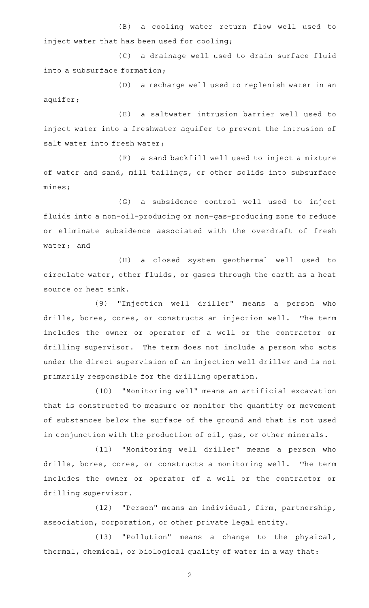(B) a cooling water return flow well used to inject water that has been used for cooling;

(C) a drainage well used to drain surface fluid into a subsurface formation;

(D) a recharge well used to replenish water in an aquifer;

(E) a saltwater intrusion barrier well used to inject water into a freshwater aquifer to prevent the intrusion of salt water into fresh water;

(F) a sand backfill well used to inject a mixture of water and sand, mill tailings, or other solids into subsurface mines;

(G) a subsidence control well used to inject fluids into a non-oil-producing or non-gas-producing zone to reduce or eliminate subsidence associated with the overdraft of fresh water; and

(H) a closed system geothermal well used to circulate water, other fluids, or gases through the earth as a heat source or heat sink.

(9) "Injection well driller" means a person who drills, bores, cores, or constructs an injection well. The term includes the owner or operator of a well or the contractor or drilling supervisor. The term does not include a person who acts under the direct supervision of an injection well driller and is not primarily responsible for the drilling operation.

(10) "Monitoring well" means an artificial excavation that is constructed to measure or monitor the quantity or movement of substances below the surface of the ground and that is not used in conjunction with the production of oil, gas, or other minerals.

(11) "Monitoring well driller" means a person who drills, bores, cores, or constructs a monitoring well. The term includes the owner or operator of a well or the contractor or drilling supervisor.

(12) "Person" means an individual, firm, partnership, association, corporation, or other private legal entity.

(13) "Pollution" means a change to the physical, thermal, chemical, or biological quality of water in a way that: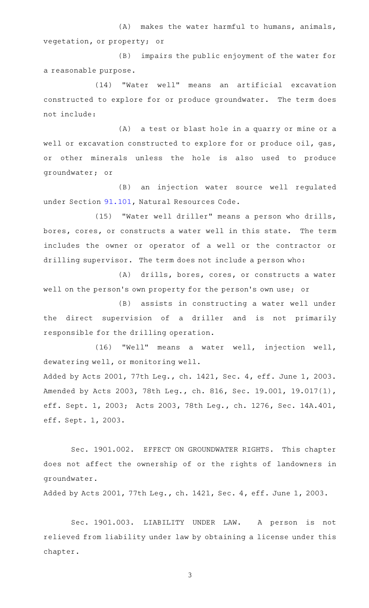$(A)$  makes the water harmful to humans, animals, vegetation, or property; or

(B) impairs the public enjoyment of the water for a reasonable purpose.

(14) "Water well" means an artificial excavation constructed to explore for or produce groundwater. The term does not include:

(A) a test or blast hole in a quarry or mine or a well or excavation constructed to explore for or produce oil, gas, or other minerals unless the hole is also used to produce groundwater; or

(B) an injection water source well regulated under Section [91.101,](http://www.statutes.legis.state.tx.us/GetStatute.aspx?Code=NR&Value=91.101) Natural Resources Code.

(15) "Water well driller" means a person who drills, bores, cores, or constructs a water well in this state. The term includes the owner or operator of a well or the contractor or drilling supervisor. The term does not include a person who:

(A) drills, bores, cores, or constructs a water well on the person's own property for the person's own use; or

(B) assists in constructing a water well under the direct supervision of a driller and is not primarily responsible for the drilling operation.

(16) "Well" means a water well, injection well, dewatering well, or monitoring well.

Added by Acts 2001, 77th Leg., ch. 1421, Sec. 4, eff. June 1, 2003. Amended by Acts 2003, 78th Leg., ch. 816, Sec. 19.001, 19.017(1), eff. Sept. 1, 2003; Acts 2003, 78th Leg., ch. 1276, Sec. 14A.401, eff. Sept. 1, 2003.

Sec. 1901.002. EFFECT ON GROUNDWATER RIGHTS. This chapter does not affect the ownership of or the rights of landowners in groundwater.

Added by Acts 2001, 77th Leg., ch. 1421, Sec. 4, eff. June 1, 2003.

Sec. 1901.003. LIABILITY UNDER LAW. A person is not relieved from liability under law by obtaining a license under this chapter.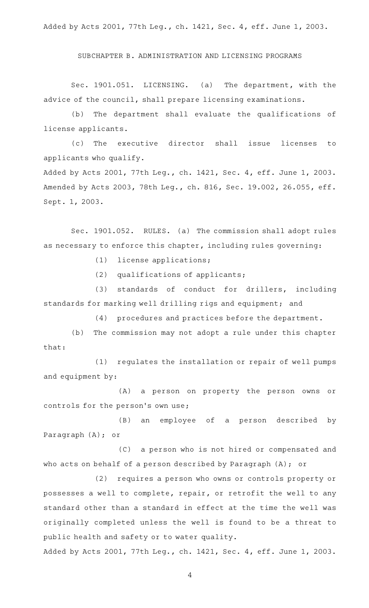Added by Acts 2001, 77th Leg., ch. 1421, Sec. 4, eff. June 1, 2003.

SUBCHAPTER B. ADMINISTRATION AND LICENSING PROGRAMS

Sec. 1901.051. LICENSING. (a) The department, with the advice of the council, shall prepare licensing examinations.

(b) The department shall evaluate the qualifications of license applicants.

(c) The executive director shall issue licenses to applicants who qualify.

Added by Acts 2001, 77th Leg., ch. 1421, Sec. 4, eff. June 1, 2003. Amended by Acts 2003, 78th Leg., ch. 816, Sec. 19.002, 26.055, eff. Sept. 1, 2003.

Sec. 1901.052. RULES. (a) The commission shall adopt rules as necessary to enforce this chapter, including rules governing:

(1) license applications;

 $(2)$  qualifications of applicants;

(3) standards of conduct for drillers, including standards for marking well drilling rigs and equipment; and

(4) procedures and practices before the department.

(b) The commission may not adopt a rule under this chapter that:

(1) regulates the installation or repair of well pumps and equipment by:

(A) a person on property the person owns or controls for the person's own use;

(B) an employee of a person described by Paragraph (A); or

(C) a person who is not hired or compensated and who acts on behalf of a person described by Paragraph (A); or

(2) requires a person who owns or controls property or possesses a well to complete, repair, or retrofit the well to any standard other than a standard in effect at the time the well was originally completed unless the well is found to be a threat to public health and safety or to water quality.

Added by Acts 2001, 77th Leg., ch. 1421, Sec. 4, eff. June 1, 2003.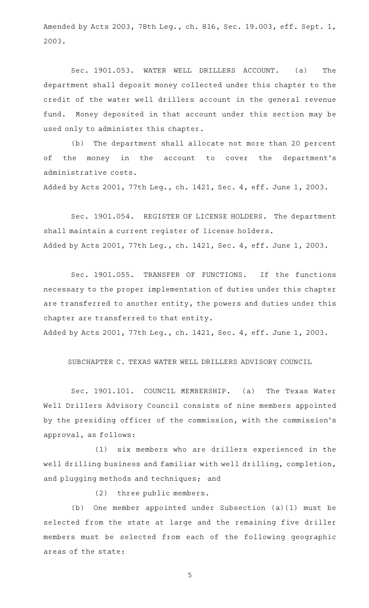Amended by Acts 2003, 78th Leg., ch. 816, Sec. 19.003, eff. Sept. 1, 2003.

Sec. 1901.053. WATER WELL DRILLERS ACCOUNT. (a) The department shall deposit money collected under this chapter to the credit of the water well drillers account in the general revenue fund. Money deposited in that account under this section may be used only to administer this chapter.

(b) The department shall allocate not more than 20 percent of the money in the account to cover the department's administrative costs.

Added by Acts 2001, 77th Leg., ch. 1421, Sec. 4, eff. June 1, 2003.

Sec. 1901.054. REGISTER OF LICENSE HOLDERS. The department shall maintain a current register of license holders. Added by Acts 2001, 77th Leg., ch. 1421, Sec. 4, eff. June 1, 2003.

Sec. 1901.055. TRANSFER OF FUNCTIONS. If the functions necessary to the proper implementation of duties under this chapter are transferred to another entity, the powers and duties under this chapter are transferred to that entity.

Added by Acts 2001, 77th Leg., ch. 1421, Sec. 4, eff. June 1, 2003.

SUBCHAPTER C. TEXAS WATER WELL DRILLERS ADVISORY COUNCIL

Sec. 1901.101. COUNCIL MEMBERSHIP. (a) The Texas Water Well Drillers Advisory Council consists of nine members appointed by the presiding officer of the commission, with the commission 's approval, as follows:

(1) six members who are drillers experienced in the well drilling business and familiar with well drilling, completion, and plugging methods and techniques; and

(2) three public members.

(b) One member appointed under Subsection (a)(1) must be selected from the state at large and the remaining five driller members must be selected from each of the following geographic areas of the state: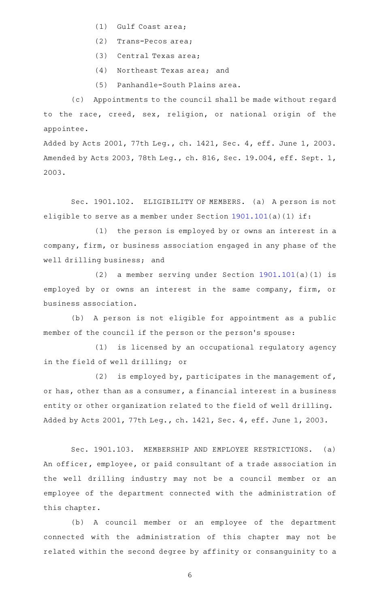- $(1)$  Gulf Coast area;
- (2) Trans-Pecos area;
- (3) Central Texas area;
- (4) Northeast Texas area; and
- (5) Panhandle-South Plains area.

(c) Appointments to the council shall be made without regard to the race, creed, sex, religion, or national origin of the appointee.

Added by Acts 2001, 77th Leg., ch. 1421, Sec. 4, eff. June 1, 2003. Amended by Acts 2003, 78th Leg., ch. 816, Sec. 19.004, eff. Sept. 1, 2003.

Sec. 1901.102. ELIGIBILITY OF MEMBERS. (a) A person is not eligible to serve as a member under Section [1901.101](http://www.statutes.legis.state.tx.us/GetStatute.aspx?Code=OC&Value=1901.101)(a)(1) if:

 $(1)$  the person is employed by or owns an interest in a company, firm, or business association engaged in any phase of the well drilling business; and

(2) a member serving under Section  $1901.101(a)(1)$  $1901.101(a)(1)$  is employed by or owns an interest in the same company, firm, or business association.

(b) A person is not eligible for appointment as a public member of the council if the person or the person 's spouse:

(1) is licensed by an occupational regulatory agency in the field of well drilling; or

(2) is employed by, participates in the management of, or has, other than as a consumer, a financial interest in a business entity or other organization related to the field of well drilling. Added by Acts 2001, 77th Leg., ch. 1421, Sec. 4, eff. June 1, 2003.

Sec. 1901.103. MEMBERSHIP AND EMPLOYEE RESTRICTIONS. (a) An officer, employee, or paid consultant of a trade association in the well drilling industry may not be a council member or an employee of the department connected with the administration of this chapter.

(b) A council member or an employee of the department connected with the administration of this chapter may not be related within the second degree by affinity or consanguinity to a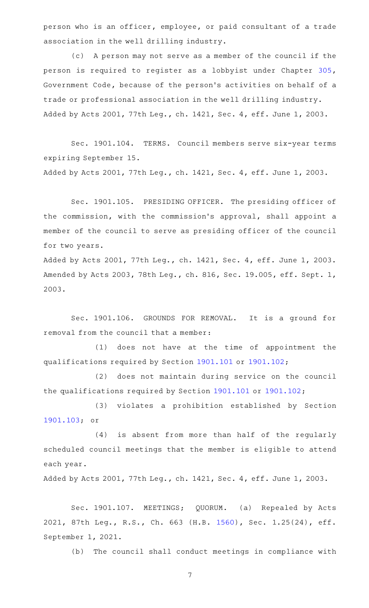person who is an officer, employee, or paid consultant of a trade association in the well drilling industry.

(c) A person may not serve as a member of the council if the person is required to register as a lobbyist under Chapter [305](http://www.statutes.legis.state.tx.us/GetStatute.aspx?Code=GV&Value=305), Government Code, because of the person 's activities on behalf of a trade or professional association in the well drilling industry. Added by Acts 2001, 77th Leg., ch. 1421, Sec. 4, eff. June 1, 2003.

Sec. 1901.104. TERMS. Council members serve six-year terms expiring September 15. Added by Acts 2001, 77th Leg., ch. 1421, Sec. 4, eff. June 1, 2003.

Sec. 1901.105. PRESIDING OFFICER. The presiding officer of the commission, with the commission 's approval, shall appoint a member of the council to serve as presiding officer of the council for two years.

Added by Acts 2001, 77th Leg., ch. 1421, Sec. 4, eff. June 1, 2003. Amended by Acts 2003, 78th Leg., ch. 816, Sec. 19.005, eff. Sept. 1, 2003.

Sec. 1901.106. GROUNDS FOR REMOVAL. It is a ground for removal from the council that a member:

(1) does not have at the time of appointment the qualifications required by Section [1901.101](http://www.statutes.legis.state.tx.us/GetStatute.aspx?Code=OC&Value=1901.101) or [1901.102](http://www.statutes.legis.state.tx.us/GetStatute.aspx?Code=OC&Value=1901.102);

(2) does not maintain during service on the council the qualifications required by Section [1901.101](http://www.statutes.legis.state.tx.us/GetStatute.aspx?Code=OC&Value=1901.101) or [1901.102;](http://www.statutes.legis.state.tx.us/GetStatute.aspx?Code=OC&Value=1901.102)

(3) violates a prohibition established by Section [1901.103](http://www.statutes.legis.state.tx.us/GetStatute.aspx?Code=OC&Value=1901.103); or

(4) is absent from more than half of the regularly scheduled council meetings that the member is eligible to attend each year.

Added by Acts 2001, 77th Leg., ch. 1421, Sec. 4, eff. June 1, 2003.

Sec. 1901.107. MEETINGS; QUORUM. (a) Repealed by Acts 2021, 87th Leg., R.S., Ch. 663 (H.B. [1560\)](http://www.legis.state.tx.us/tlodocs/87R/billtext/html/HB01560F.HTM), Sec. 1.25(24), eff. September 1, 2021.

(b) The council shall conduct meetings in compliance with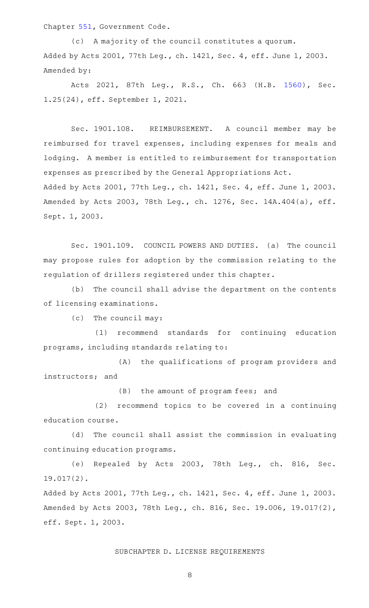Chapter [551,](http://www.statutes.legis.state.tx.us/GetStatute.aspx?Code=GV&Value=551) Government Code.

(c) A majority of the council constitutes a quorum. Added by Acts 2001, 77th Leg., ch. 1421, Sec. 4, eff. June 1, 2003. Amended by:

Acts 2021, 87th Leg., R.S., Ch. 663 (H.B. [1560\)](http://www.legis.state.tx.us/tlodocs/87R/billtext/html/HB01560F.HTM), Sec. 1.25(24), eff. September 1, 2021.

Sec. 1901.108. REIMBURSEMENT. A council member may be reimbursed for travel expenses, including expenses for meals and lodging. A member is entitled to reimbursement for transportation expenses as prescribed by the General Appropriations Act. Added by Acts 2001, 77th Leg., ch. 1421, Sec. 4, eff. June 1, 2003. Amended by Acts 2003, 78th Leg., ch. 1276, Sec. 14A.404(a), eff. Sept. 1, 2003.

Sec. 1901.109. COUNCIL POWERS AND DUTIES. (a) The council may propose rules for adoption by the commission relating to the regulation of drillers registered under this chapter.

(b) The council shall advise the department on the contents of licensing examinations.

 $(c)$  The council may:

(1) recommend standards for continuing education programs, including standards relating to:

(A) the qualifications of program providers and instructors; and

(B) the amount of program fees; and

(2) recommend topics to be covered in a continuing education course.

(d) The council shall assist the commission in evaluating continuing education programs.

(e) Repealed by Acts 2003, 78th Leg., ch. 816, Sec. 19.017(2).

Added by Acts 2001, 77th Leg., ch. 1421, Sec. 4, eff. June 1, 2003. Amended by Acts 2003, 78th Leg., ch. 816, Sec. 19.006, 19.017(2), eff. Sept. 1, 2003.

# SUBCHAPTER D. LICENSE REQUIREMENTS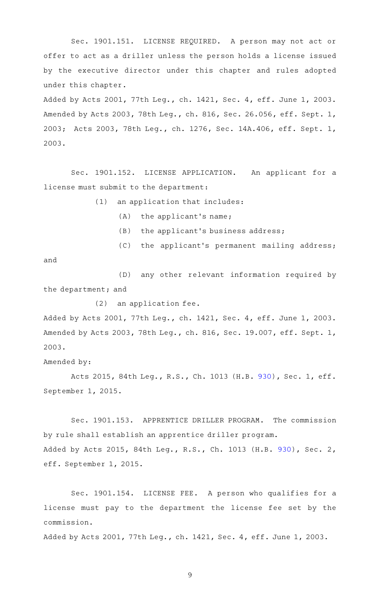Sec. 1901.151. LICENSE REQUIRED. A person may not act or offer to act as a driller unless the person holds a license issued by the executive director under this chapter and rules adopted under this chapter.

Added by Acts 2001, 77th Leg., ch. 1421, Sec. 4, eff. June 1, 2003. Amended by Acts 2003, 78th Leg., ch. 816, Sec. 26.056, eff. Sept. 1, 2003; Acts 2003, 78th Leg., ch. 1276, Sec. 14A.406, eff. Sept. 1, 2003.

Sec. 1901.152. LICENSE APPLICATION. An applicant for a license must submit to the department:

 $(1)$  an application that includes:

- $(A)$  the applicant's name;
- $(B)$  the applicant's business address;
- (C) the applicant's permanent mailing address;

and

(D) any other relevant information required by the department; and

 $(2)$  an application fee.

Added by Acts 2001, 77th Leg., ch. 1421, Sec. 4, eff. June 1, 2003. Amended by Acts 2003, 78th Leg., ch. 816, Sec. 19.007, eff. Sept. 1, 2003.

Amended by:

Acts 2015, 84th Leg., R.S., Ch. 1013 (H.B. [930](http://www.legis.state.tx.us/tlodocs/84R/billtext/html/HB00930F.HTM)), Sec. 1, eff. September 1, 2015.

Sec. 1901.153. APPRENTICE DRILLER PROGRAM. The commission by rule shall establish an apprentice driller program. Added by Acts 2015, 84th Leg., R.S., Ch. 1013 (H.B. [930](http://www.legis.state.tx.us/tlodocs/84R/billtext/html/HB00930F.HTM)), Sec. 2, eff. September 1, 2015.

Sec. 1901.154. LICENSE FEE. A person who qualifies for a license must pay to the department the license fee set by the commission.

Added by Acts 2001, 77th Leg., ch. 1421, Sec. 4, eff. June 1, 2003.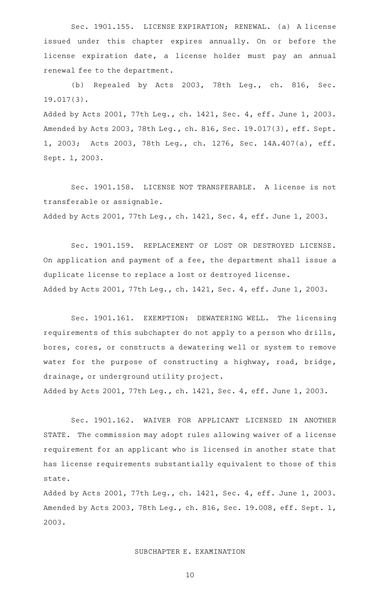Sec. 1901.155. LICENSE EXPIRATION; RENEWAL. (a) A license issued under this chapter expires annually. On or before the license expiration date, a license holder must pay an annual renewal fee to the department.

(b) Repealed by Acts 2003, 78th Leg., ch. 816, Sec. 19.017(3).

Added by Acts 2001, 77th Leg., ch. 1421, Sec. 4, eff. June 1, 2003. Amended by Acts 2003, 78th Leg., ch. 816, Sec. 19.017(3), eff. Sept. 1, 2003; Acts 2003, 78th Leg., ch. 1276, Sec. 14A.407(a), eff. Sept. 1, 2003.

Sec. 1901.158. LICENSE NOT TRANSFERABLE. A license is not transferable or assignable. Added by Acts 2001, 77th Leg., ch. 1421, Sec. 4, eff. June 1, 2003.

Sec. 1901.159. REPLACEMENT OF LOST OR DESTROYED LICENSE. On application and payment of a fee, the department shall issue a duplicate license to replace a lost or destroyed license. Added by Acts 2001, 77th Leg., ch. 1421, Sec. 4, eff. June 1, 2003.

Sec. 1901.161. EXEMPTION: DEWATERING WELL. The licensing requirements of this subchapter do not apply to a person who drills, bores, cores, or constructs a dewatering well or system to remove water for the purpose of constructing a highway, road, bridge, drainage, or underground utility project.

Added by Acts 2001, 77th Leg., ch. 1421, Sec. 4, eff. June 1, 2003.

Sec. 1901.162. WAIVER FOR APPLICANT LICENSED IN ANOTHER STATE. The commission may adopt rules allowing waiver of a license requirement for an applicant who is licensed in another state that has license requirements substantially equivalent to those of this state.

Added by Acts 2001, 77th Leg., ch. 1421, Sec. 4, eff. June 1, 2003. Amended by Acts 2003, 78th Leg., ch. 816, Sec. 19.008, eff. Sept. 1, 2003.

# SUBCHAPTER E. EXAMINATION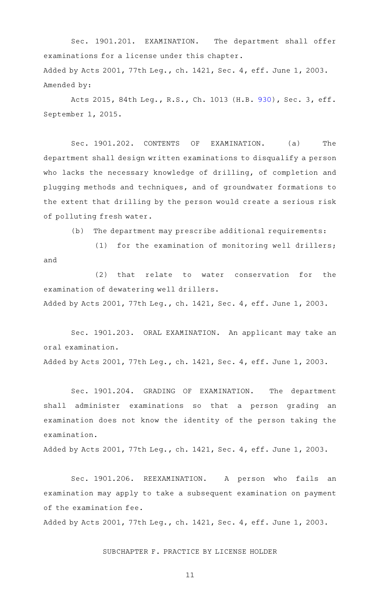Sec. 1901.201. EXAMINATION. The department shall offer examinations for a license under this chapter. Added by Acts 2001, 77th Leg., ch. 1421, Sec. 4, eff. June 1, 2003. Amended by:

Acts 2015, 84th Leg., R.S., Ch. 1013 (H.B. [930](http://www.legis.state.tx.us/tlodocs/84R/billtext/html/HB00930F.HTM)), Sec. 3, eff. September 1, 2015.

Sec. 1901.202. CONTENTS OF EXAMINATION. (a) The department shall design written examinations to disqualify a person who lacks the necessary knowledge of drilling, of completion and plugging methods and techniques, and of groundwater formations to the extent that drilling by the person would create a serious risk of polluting fresh water.

 $(b)$  The department may prescribe additional requirements:

(1) for the examination of monitoring well drillers; and

(2) that relate to water conservation for the examination of dewatering well drillers. Added by Acts 2001, 77th Leg., ch. 1421, Sec. 4, eff. June 1, 2003.

Sec. 1901.203. ORAL EXAMINATION. An applicant may take an oral examination.

Added by Acts 2001, 77th Leg., ch. 1421, Sec. 4, eff. June 1, 2003.

Sec. 1901.204. GRADING OF EXAMINATION. The department shall administer examinations so that a person grading an examination does not know the identity of the person taking the examination.

Added by Acts 2001, 77th Leg., ch. 1421, Sec. 4, eff. June 1, 2003.

Sec. 1901.206. REEXAMINATION. A person who fails an examination may apply to take a subsequent examination on payment of the examination fee.

Added by Acts 2001, 77th Leg., ch. 1421, Sec. 4, eff. June 1, 2003.

# SUBCHAPTER F. PRACTICE BY LICENSE HOLDER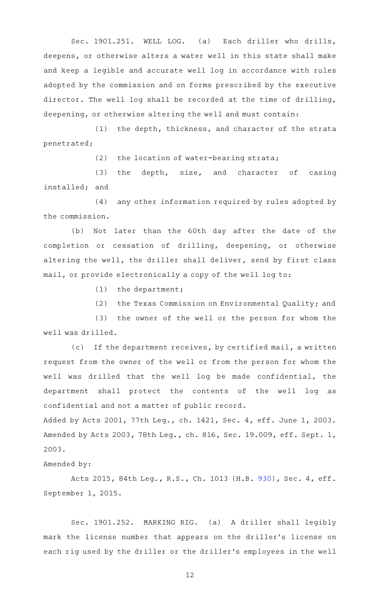Sec. 1901.251. WELL LOG. (a) Each driller who drills, deepens, or otherwise alters a water well in this state shall make and keep a legible and accurate well log in accordance with rules adopted by the commission and on forms prescribed by the executive director. The well log shall be recorded at the time of drilling, deepening, or otherwise altering the well and must contain:

(1) the depth, thickness, and character of the strata penetrated;

(2) the location of water-bearing strata;

 $(3)$  the depth, size, and character of casing installed; and

(4) any other information required by rules adopted by the commission.

(b) Not later than the 60th day after the date of the completion or cessation of drilling, deepening, or otherwise altering the well, the driller shall deliver, send by first class mail, or provide electronically a copy of the well log to:

 $(1)$  the department;

(2) the Texas Commission on Environmental Quality; and

(3) the owner of the well or the person for whom the well was drilled.

(c) If the department receives, by certified mail, a written request from the owner of the well or from the person for whom the well was drilled that the well log be made confidential, the department shall protect the contents of the well log as confidential and not a matter of public record.

Added by Acts 2001, 77th Leg., ch. 1421, Sec. 4, eff. June 1, 2003. Amended by Acts 2003, 78th Leg., ch. 816, Sec. 19.009, eff. Sept. 1, 2003.

Amended by:

Acts 2015, 84th Leg., R.S., Ch. 1013 (H.B. [930](http://www.legis.state.tx.us/tlodocs/84R/billtext/html/HB00930F.HTM)), Sec. 4, eff. September 1, 2015.

Sec. 1901.252. MARKING RIG. (a) A driller shall legibly mark the license number that appears on the driller 's license on each rig used by the driller or the driller 's employees in the well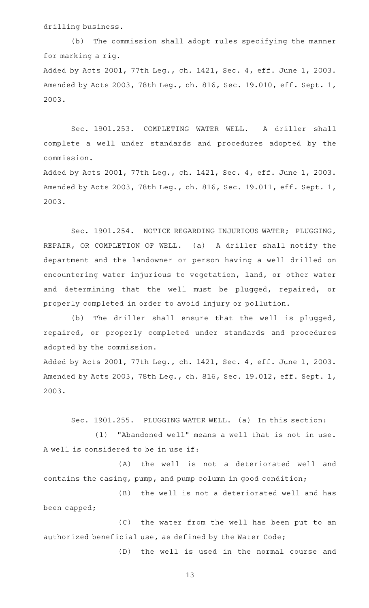drilling business.

(b) The commission shall adopt rules specifying the manner for marking a rig. Added by Acts 2001, 77th Leg., ch. 1421, Sec. 4, eff. June 1, 2003. Amended by Acts 2003, 78th Leg., ch. 816, Sec. 19.010, eff. Sept. 1, 2003.

Sec. 1901.253. COMPLETING WATER WELL. A driller shall complete a well under standards and procedures adopted by the commission.

Added by Acts 2001, 77th Leg., ch. 1421, Sec. 4, eff. June 1, 2003. Amended by Acts 2003, 78th Leg., ch. 816, Sec. 19.011, eff. Sept. 1, 2003.

Sec. 1901.254. NOTICE REGARDING INJURIOUS WATER; PLUGGING, REPAIR, OR COMPLETION OF WELL. (a) A driller shall notify the department and the landowner or person having a well drilled on encountering water injurious to vegetation, land, or other water and determining that the well must be plugged, repaired, or properly completed in order to avoid injury or pollution.

(b) The driller shall ensure that the well is plugged, repaired, or properly completed under standards and procedures adopted by the commission.

Added by Acts 2001, 77th Leg., ch. 1421, Sec. 4, eff. June 1, 2003. Amended by Acts 2003, 78th Leg., ch. 816, Sec. 19.012, eff. Sept. 1, 2003.

Sec. 1901.255. PLUGGING WATER WELL. (a) In this section: (1) "Abandoned well" means a well that is not in use. A well is considered to be in use if:

(A) the well is not a deteriorated well and contains the casing, pump, and pump column in good condition;

(B) the well is not a deteriorated well and has been capped;

(C) the water from the well has been put to an authorized beneficial use, as defined by the Water Code;

(D) the well is used in the normal course and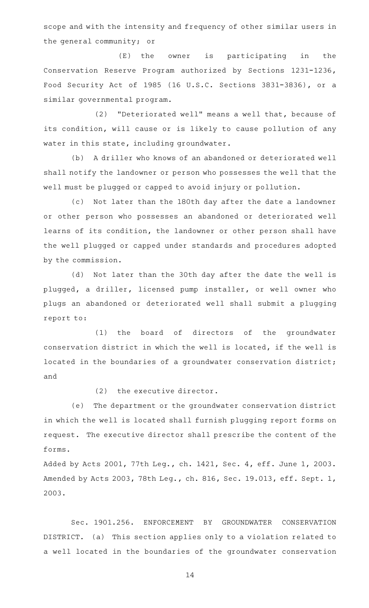scope and with the intensity and frequency of other similar users in the general community; or

(E) the owner is participating in the Conservation Reserve Program authorized by Sections 1231-1236, Food Security Act of 1985 (16 U.S.C. Sections 3831-3836), or a similar governmental program.

(2) "Deteriorated well" means a well that, because of its condition, will cause or is likely to cause pollution of any water in this state, including groundwater.

(b) A driller who knows of an abandoned or deteriorated well shall notify the landowner or person who possesses the well that the well must be plugged or capped to avoid injury or pollution.

(c) Not later than the 180th day after the date a landowner or other person who possesses an abandoned or deteriorated well learns of its condition, the landowner or other person shall have the well plugged or capped under standards and procedures adopted by the commission.

(d) Not later than the 30th day after the date the well is plugged, a driller, licensed pump installer, or well owner who plugs an abandoned or deteriorated well shall submit a plugging report to:

(1) the board of directors of the groundwater conservation district in which the well is located, if the well is located in the boundaries of a groundwater conservation district; and

 $(2)$  the executive director.

(e) The department or the groundwater conservation district in which the well is located shall furnish plugging report forms on request. The executive director shall prescribe the content of the forms.

Added by Acts 2001, 77th Leg., ch. 1421, Sec. 4, eff. June 1, 2003. Amended by Acts 2003, 78th Leg., ch. 816, Sec. 19.013, eff. Sept. 1, 2003.

Sec. 1901.256. ENFORCEMENT BY GROUNDWATER CONSERVATION DISTRICT. (a) This section applies only to a violation related to a well located in the boundaries of the groundwater conservation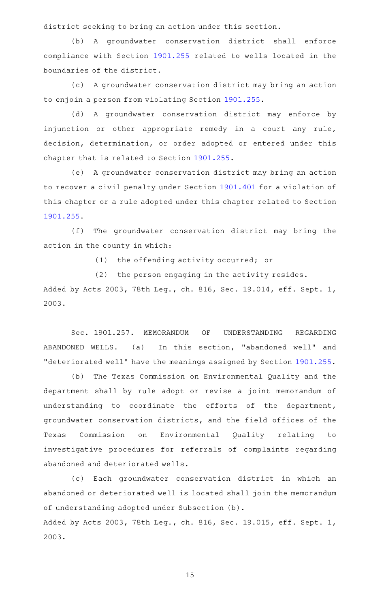district seeking to bring an action under this section.

(b) A groundwater conservation district shall enforce compliance with Section [1901.255](http://www.statutes.legis.state.tx.us/GetStatute.aspx?Code=OC&Value=1901.255) related to wells located in the boundaries of the district.

(c) A groundwater conservation district may bring an action to enjoin a person from violating Section [1901.255.](http://www.statutes.legis.state.tx.us/GetStatute.aspx?Code=OC&Value=1901.255)

(d) A groundwater conservation district may enforce by injunction or other appropriate remedy in a court any rule, decision, determination, or order adopted or entered under this chapter that is related to Section [1901.255](http://www.statutes.legis.state.tx.us/GetStatute.aspx?Code=OC&Value=1901.255).

(e) A groundwater conservation district may bring an action to recover a civil penalty under Section [1901.401](http://www.statutes.legis.state.tx.us/GetStatute.aspx?Code=OC&Value=1901.401) for a violation of this chapter or a rule adopted under this chapter related to Section [1901.255](http://www.statutes.legis.state.tx.us/GetStatute.aspx?Code=OC&Value=1901.255).

(f) The groundwater conservation district may bring the action in the county in which:

(1) the offending activity occurred; or

(2) the person engaging in the activity resides.

Added by Acts 2003, 78th Leg., ch. 816, Sec. 19.014, eff. Sept. 1, 2003.

Sec. 1901.257. MEMORANDUM OF UNDERSTANDING REGARDING ABANDONED WELLS. (a) In this section, "abandoned well" and "deteriorated well" have the meanings assigned by Section [1901.255](http://www.statutes.legis.state.tx.us/GetStatute.aspx?Code=OC&Value=1901.255).

(b) The Texas Commission on Environmental Quality and the department shall by rule adopt or revise a joint memorandum of understanding to coordinate the efforts of the department, groundwater conservation districts, and the field offices of the Texas Commission on Environmental Quality relating to investigative procedures for referrals of complaints regarding abandoned and deteriorated wells.

(c) Each groundwater conservation district in which an abandoned or deteriorated well is located shall join the memorandum of understanding adopted under Subsection (b).

Added by Acts 2003, 78th Leg., ch. 816, Sec. 19.015, eff. Sept. 1, 2003.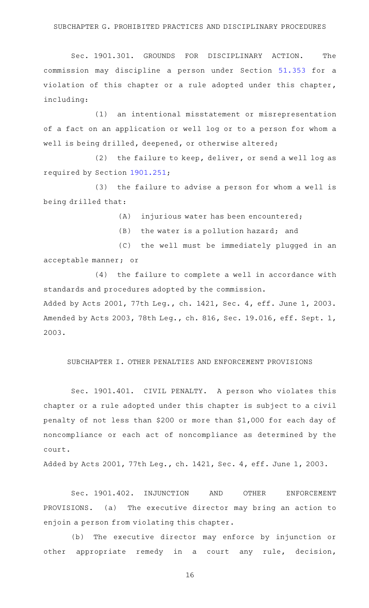### SUBCHAPTER G. PROHIBITED PRACTICES AND DISCIPLINARY PROCEDURES

Sec. 1901.301. GROUNDS FOR DISCIPLINARY ACTION. The commission may discipline a person under Section [51.353](http://www.statutes.legis.state.tx.us/GetStatute.aspx?Code=OC&Value=51.353) for a violation of this chapter or a rule adopted under this chapter, including:

(1) an intentional misstatement or misrepresentation of a fact on an application or well log or to a person for whom a well is being drilled, deepened, or otherwise altered;

(2) the failure to keep, deliver, or send a well log as required by Section [1901.251;](http://www.statutes.legis.state.tx.us/GetStatute.aspx?Code=OC&Value=1901.251)

(3) the failure to advise a person for whom a well is being drilled that:

 $(A)$  injurious water has been encountered;

 $(B)$  the water is a pollution hazard; and

(C) the well must be immediately plugged in an acceptable manner; or

 $(4)$  the failure to complete a well in accordance with standards and procedures adopted by the commission.

Added by Acts 2001, 77th Leg., ch. 1421, Sec. 4, eff. June 1, 2003. Amended by Acts 2003, 78th Leg., ch. 816, Sec. 19.016, eff. Sept. 1, 2003.

# SUBCHAPTER I. OTHER PENALTIES AND ENFORCEMENT PROVISIONS

Sec. 1901.401. CIVIL PENALTY. A person who violates this chapter or a rule adopted under this chapter is subject to a civil penalty of not less than \$200 or more than \$1,000 for each day of noncompliance or each act of noncompliance as determined by the court.

Added by Acts 2001, 77th Leg., ch. 1421, Sec. 4, eff. June 1, 2003.

Sec. 1901.402. INJUNCTION AND OTHER ENFORCEMENT PROVISIONS. (a) The executive director may bring an action to enjoin a person from violating this chapter.

(b) The executive director may enforce by injunction or other appropriate remedy in a court any rule, decision,